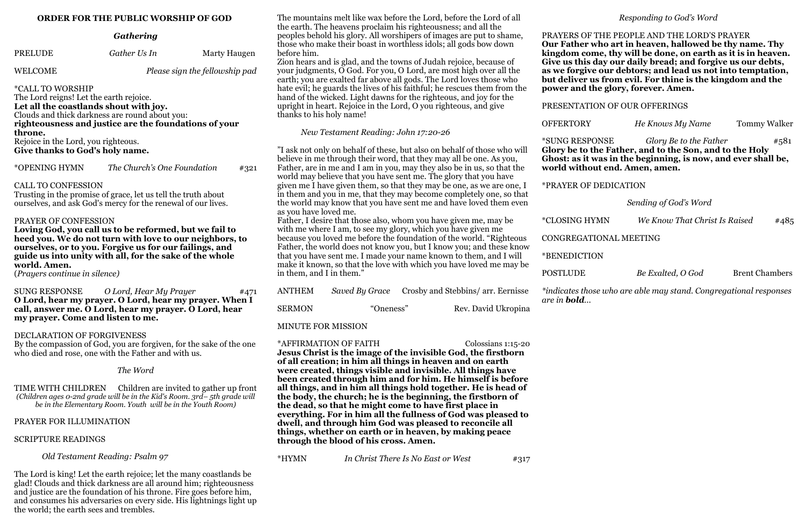### **ORDER FOR THE PUBLIC WORSHIP OF GOD**

### *Gathering*

**PRELUDE** *Gather Us In* Marty Haugen

WELCOME *Please sign the fellowship pad* 

\*CALL TO WORSHIP

The Lord reigns! Let the earth rejoice. **Let all the coastlands shout with joy.** Clouds and thick darkness are round about you: **righteousness and justice are the foundations of your throne.** Rejoice in the Lord, you righteous.

**Give thanks to God's holy name.** 

\*OPENING HYMN *The Church's One Foundation* #321

# CALL TO CONFESSION

Trusting in the promise of grace, let us tell the truth about ourselves, and ask God's mercy for the renewal of our lives.

# PRAYER OF CONFESSION

**Loving God, you call us to be reformed, but we fail to heed you. We do not turn with love to our neighbors, to ourselves, or to you. Forgive us for our failings, and guide us into unity with all, for the sake of the whole world. Amen.** 

(*Prayers continue in silence)*

SUNG RESPONSE *O Lord, Hear My Prayer* #471 **O Lord, hear my prayer. O Lord, hear my prayer. When I call, answer me. O Lord, hear my prayer. O Lord, hear my prayer. Come and listen to me.** 

### DECLARATION OF FORGIVENESS

By the compassion of God, you are forgiven, for the sake of the one who died and rose, one with the Father and with us.

*The Word*

TIME WITH CHILDREN Children are invited to gather up front *(Children ages 0-2nd grade will be in the Kid's Room. 3rd– 5th grade will be in the Elementary Room. Youth will be in the Youth Room)* 

# PRAYER FOR ILLUMINATION

### SCRIPTURE READINGS

 *Old Testament Reading: Psalm 97*

The Lord is king! Let the earth rejoice; let the many coastlands be glad! Clouds and thick darkness are all around him; righteousness and justice are the foundation of his throne. Fire goes before him, and consumes his adversaries on every side. His lightnings light up the world; the earth sees and trembles.

| <b>ANTHEM</b> |           | Saved By Grace Crosby and Stebbins/ arr. Eernisse |                     |
|---------------|-----------|---------------------------------------------------|---------------------|
| SERMON        | "Oneness" |                                                   | Rev. David Ukropina |

The mountains melt like wax before the Lord, before the Lord of all the earth. The heavens proclaim his righteousness; and all the peoples behold his glory. All worshipers of images are put to shame, those who make their boast in worthless idols; all gods bow down before him.

Zion hears and is glad, and the towns of Judah rejoice, because of your judgments, O God. For you, O Lord, are most high over all the earth; you are exalted far above all gods. The Lord loves those who hate evil; he guards the lives of his faithful; he rescues them from the hand of the wicked. Light dawns for the righteous, and joy for the upright in heart. Rejoice in the Lord, O you righteous, and give thanks to his holy name!

*New Testament Reading: John 17:20-26*

"I ask not only on behalf of these, but also on behalf of those who will believe in me through their word, that they may all be one. As you, Father, are in me and I am in you, may they also be in us, so that the world may believe that you have sent me. The glory that you have given me I have given them, so that they may be one, as we are one, I in them and you in me, that they may become completely one, so that the world may know that you have sent me and have loved them even as you have loved me.

Father, I desire that those also, whom you have given me, may be with me where I am, to see my glory, which you have given me because you loved me before the foundation of the world. "Righteous Father, the world does not know you, but I know you; and these know that you have sent me. I made your name known to them, and I will make it known, so that the love with which you have loved me may be in them, and I in them."

MINUTE FOR MISSION

\*AFFIRMATION OF FAITH Colossians 1:15-20 **Jesus Christ is the image of the invisible God, the firstborn of all creation; in him all things in heaven and on earth were created, things visible and invisible. All things have been created through him and for him. He himself is before all things, and in him all things hold together. He is head of the body, the church; he is the beginning, the firstborn of the dead, so that he might come to have first place in everything. For in him all the fullness of God was pleased to dwell, and through him God was pleased to reconcile all things, whether on earth or in heaven, by making peace through the blood of his cross. Amen.** 

\*HYMN *In Christ There Is No East or West* #317

# *Responding to God's Word*

PRAYERS OF THE PEOPLE AND THE LORD'S PRAYER **Our Father who art in heaven, hallowed be thy name. Thy kingdom come, thy will be done, on earth as it is in heaven. Give us this day our daily bread; and forgive us our debts, as we forgive our debtors; and lead us not into temptation, but deliver us from evil. For thine is the kingdom and the power and the glory, forever. Amen.**

PRESENTATION OF OUR OFFERINGS

OFFERTORY *He Knows My Name* Tommy Walker

\*SUNG RESPONSE *Glory Be to the Father* #581 **Glory be to the Father, and to the Son, and to the Holy Ghost: as it was in the beginning, is now, and ever shall be, world without end. Amen, amen.**

\*PRAYER OF DEDICATION

*Sending of God's Word*

\*CLOSING HYMN *We Know That Christ Is Raised* #485

CONGREGATIONAL MEETING

POSTLUDE *Be Exalted, O God* Brent Chambers

\*BENEDICTION

*\*indicates those who are able may stand. Congregational responses* 

*are in bold...*